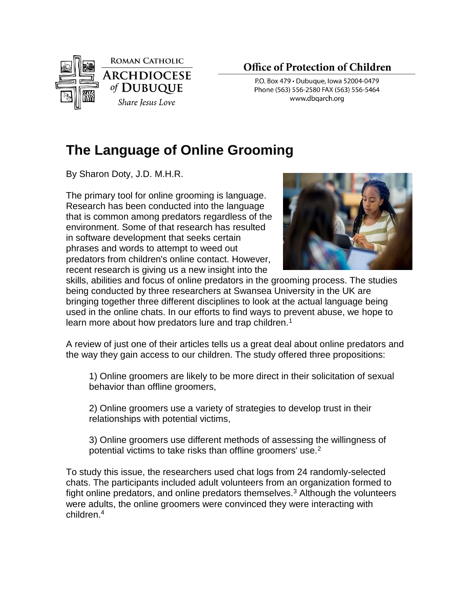

## **Office of Protection of Children**

P.O. Box 479 · Dubuque, Iowa 52004-0479 Phone (563) 556-2580 FAX (563) 556-5464 www.dbgarch.org

## **The Language of Online Grooming**

By Sharon Doty, J.D. M.H.R.

The primary tool for online grooming is language. Research has been conducted into the language that is common among predators regardless of the environment. Some of that research has resulted in software development that seeks certain phrases and words to attempt to weed out predators from children's online contact. However, recent research is giving us a new insight into the



skills, abilities and focus of online predators in the grooming process. The studies being conducted by three researchers at Swansea University in the UK are bringing together three different disciplines to look at the actual language being used in the online chats. In our efforts to find ways to prevent abuse, we hope to learn more about how predators lure and trap children.<sup>1</sup>

A review of just one of their articles tells us a great deal about online predators and the way they gain access to our children. The study offered three propositions:

1) Online groomers are likely to be more direct in their solicitation of sexual behavior than offline groomers,

2) Online groomers use a variety of strategies to develop trust in their relationships with potential victims,

3) Online groomers use different methods of assessing the willingness of potential victims to take risks than offline groomers' use.<sup>2</sup>

To study this issue, the researchers used chat logs from 24 randomly-selected chats. The participants included adult volunteers from an organization formed to fight online predators, and online predators themselves.<sup>3</sup> Although the volunteers were adults, the online groomers were convinced they were interacting with children.4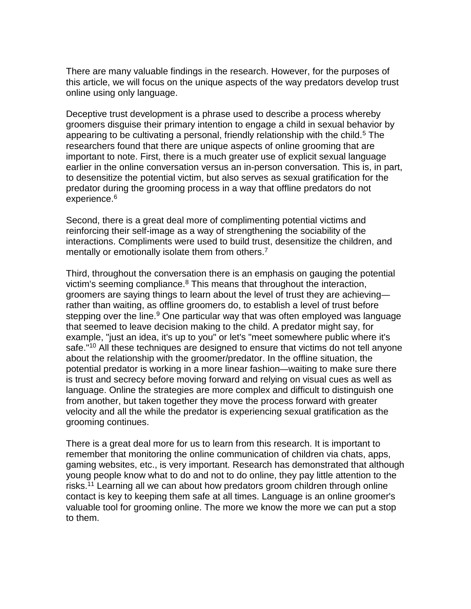There are many valuable findings in the research. However, for the purposes of this article, we will focus on the unique aspects of the way predators develop trust online using only language.

Deceptive trust development is a phrase used to describe a process whereby groomers disguise their primary intention to engage a child in sexual behavior by appearing to be cultivating a personal, friendly relationship with the child.<sup>5</sup> The researchers found that there are unique aspects of online grooming that are important to note. First, there is a much greater use of explicit sexual language earlier in the online conversation versus an in-person conversation. This is, in part, to desensitize the potential victim, but also serves as sexual gratification for the predator during the grooming process in a way that offline predators do not experience.<sup>6</sup>

Second, there is a great deal more of complimenting potential victims and reinforcing their self-image as a way of strengthening the sociability of the interactions. Compliments were used to build trust, desensitize the children, and mentally or emotionally isolate them from others.<sup>7</sup>

Third, throughout the conversation there is an emphasis on gauging the potential victim's seeming compliance. $8$  This means that throughout the interaction, groomers are saying things to learn about the level of trust they are achieving rather than waiting, as offline groomers do, to establish a level of trust before stepping over the line.<sup>9</sup> One particular way that was often employed was language that seemed to leave decision making to the child. A predator might say, for example, "just an idea, it's up to you" or let's "meet somewhere public where it's safe."<sup>10</sup> All these techniques are designed to ensure that victims do not tell anyone about the relationship with the groomer/predator. In the offline situation, the potential predator is working in a more linear fashion—waiting to make sure there is trust and secrecy before moving forward and relying on visual cues as well as language. Online the strategies are more complex and difficult to distinguish one from another, but taken together they move the process forward with greater velocity and all the while the predator is experiencing sexual gratification as the grooming continues.

There is a great deal more for us to learn from this research. It is important to remember that monitoring the online communication of children via chats, apps, gaming websites, etc., is very important. Research has demonstrated that although young people know what to do and not to do online, they pay little attention to the risks.<sup>11</sup> Learning all we can about how predators groom children through online contact is key to keeping them safe at all times. Language is an online groomer's valuable tool for grooming online. The more we know the more we can put a stop to them.